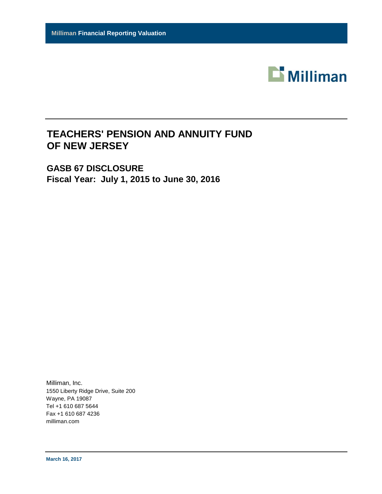

# **TEACHERS' PENSION AND ANNUITY FUND OF NEW JERSEY**

**GASB 67 DISCLOSURE Fiscal Year: July 1, 2015 to June 30, 2016**

Milliman, Inc. 1550 Liberty Ridge Drive, Suite 200 Wayne, PA 19087 Tel +1 610 687 5644 Fax +1 610 687 4236 milliman.com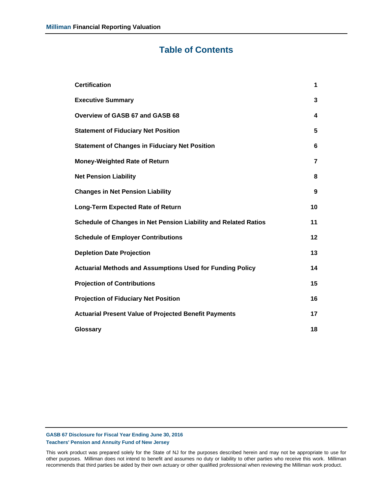## **Table of Contents**

| <b>Certification</b>                                             | 1              |
|------------------------------------------------------------------|----------------|
| <b>Executive Summary</b>                                         | 3              |
| Overview of GASB 67 and GASB 68                                  | 4              |
| <b>Statement of Fiduciary Net Position</b>                       | 5              |
| <b>Statement of Changes in Fiduciary Net Position</b>            | 6              |
| <b>Money-Weighted Rate of Return</b>                             | $\overline{7}$ |
| <b>Net Pension Liability</b>                                     | 8              |
| <b>Changes in Net Pension Liability</b>                          | 9              |
| <b>Long-Term Expected Rate of Return</b>                         | 10             |
| Schedule of Changes in Net Pension Liability and Related Ratios  | 11             |
| <b>Schedule of Employer Contributions</b>                        | 12             |
| <b>Depletion Date Projection</b>                                 | 13             |
| <b>Actuarial Methods and Assumptions Used for Funding Policy</b> | 14             |
| <b>Projection of Contributions</b>                               | 15             |
| <b>Projection of Fiduciary Net Position</b>                      | 16             |
| <b>Actuarial Present Value of Projected Benefit Payments</b>     | 17             |
| Glossary                                                         | 18             |

**GASB 67 Disclosure for Fiscal Year Ending June 30, 2016 Teachers' Pension and Annuity Fund of New Jersey**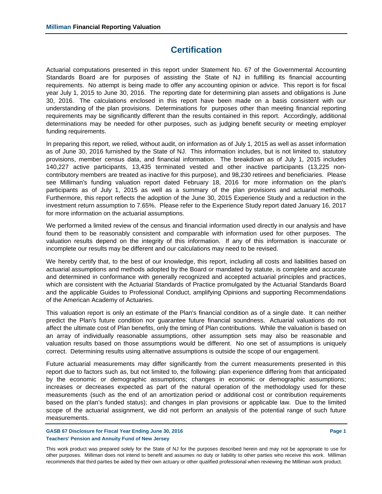## **Certification**

Actuarial computations presented in this report under Statement No. 67 of the Governmental Accounting Standards Board are for purposes of assisting the State of NJ in fulfilling its financial accounting requirements. No attempt is being made to offer any accounting opinion or advice. This report is for fiscal year July 1, 2015 to June 30, 2016. The reporting date for determining plan assets and obligations is June 30, 2016. The calculations enclosed in this report have been made on a basis consistent with our understanding of the plan provisions. Determinations for purposes other than meeting financial reporting requirements may be significantly different than the results contained in this report. Accordingly, additional determinations may be needed for other purposes, such as judging benefit security or meeting employer funding requirements.

In preparing this report, we relied, without audit, on information as of July 1, 2015 as well as asset information as of June 30, 2016 furnished by the State of NJ. This information includes, but is not limited to, statutory provisions, member census data, and financial information. The breakdown as of July 1, 2015 includes 140,227 active participants, 13,435 terminated vested and other inactive participants (13,225 noncontributory members are treated as inactive for this purpose), and 98,230 retirees and beneficiaries. Please see Milliman's funding valuation report dated February 18, 2016 for more information on the plan's participants as of July 1, 2015 as well as a summary of the plan provisions and actuarial methods. Furthermore, this report reflects the adoption of the June 30, 2015 Experience Study and a reduction in the investment return assumption to 7.65%. Please refer to the Experience Study report dated January 16, 2017 for more information on the actuarial assumptions.

We performed a limited review of the census and financial information used directly in our analysis and have found them to be reasonably consistent and comparable with information used for other purposes. The valuation results depend on the integrity of this information. If any of this information is inaccurate or incomplete our results may be different and our calculations may need to be revised.

We hereby certify that, to the best of our knowledge, this report, including all costs and liabilities based on actuarial assumptions and methods adopted by the Board or mandated by statute, is complete and accurate and determined in conformance with generally recognized and accepted actuarial principles and practices, which are consistent with the Actuarial Standards of Practice promulgated by the Actuarial Standards Board and the applicable Guides to Professional Conduct, amplifying Opinions and supporting Recommendations of the American Academy of Actuaries.

This valuation report is only an estimate of the Plan's financial condition as of a single date. It can neither predict the Plan's future condition nor guarantee future financial soundness. Actuarial valuations do not affect the ultimate cost of Plan benefits, only the timing of Plan contributions. While the valuation is based on an array of individually reasonable assumptions, other assumption sets may also be reasonable and valuation results based on those assumptions would be different. No one set of assumptions is uniquely correct. Determining results using alternative assumptions is outside the scope of our engagement.

Future actuarial measurements may differ significantly from the current measurements presented in this report due to factors such as, but not limited to, the following: plan experience differing from that anticipated by the economic or demographic assumptions; changes in economic or demographic assumptions; increases or decreases expected as part of the natural operation of the methodology used for these measurements (such as the end of an amortization period or additional cost or contribution requirements based on the plan's funded status); and changes in plan provisions or applicable law. Due to the limited scope of the actuarial assignment, we did not perform an analysis of the potential range of such future measurements.

**GASB 67 Disclosure for Fiscal Year Ending June 30, 2016 Page 1 Page 1 Page 1 Teachers' Pension and Annuity Fund of New Jersey**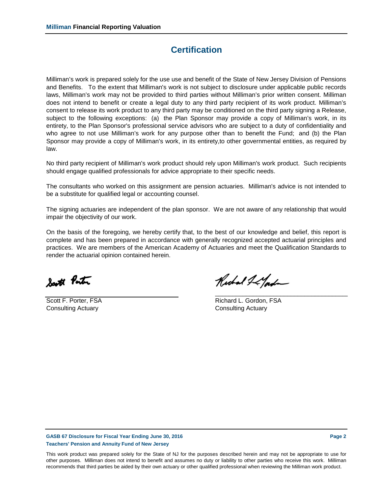## **Certification**

Milliman's work is prepared solely for the use use and benefit of the State of New Jersey Division of Pensions and Benefits. To the extent that Milliman's work is not subject to disclosure under applicable public records laws, Milliman's work may not be provided to third parties without Milliman's prior written consent. Milliman does not intend to benefit or create a legal duty to any third party recipient of its work product. Milliman's consent to release its work product to any third party may be conditioned on the third party signing a Release, subject to the following exceptions: (a) the Plan Sponsor may provide a copy of Milliman's work, in its entirety, to the Plan Sponsor's professional service advisors who are subject to a duty of confidentiality and who agree to not use Milliman's work for any purpose other than to benefit the Fund; and (b) the Plan Sponsor may provide a copy of Milliman's work, in its entirety,to other governmental entities, as required by law.

No third party recipient of Milliman's work product should rely upon Milliman's work product. Such recipients should engage qualified professionals for advice appropriate to their specific needs.

The consultants who worked on this assignment are pension actuaries. Milliman's advice is not intended to be a substitute for qualified legal or accounting counsel.

The signing actuaries are independent of the plan sponsor. We are not aware of any relationship that would impair the objectivity of our work.

On the basis of the foregoing, we hereby certify that, to the best of our knowledge and belief, this report is complete and has been prepared in accordance with generally recognized accepted actuarial principles and practices. We are members of the American Academy of Actuaries and meet the Qualification Standards to render the actuarial opinion contained herein.

South Ponton

**Consulting Actuary Consulting Actuary** 

Richard I Lyord

\_\_\_\_\_\_\_\_\_\_\_\_\_\_\_\_\_\_\_\_\_\_\_\_\_\_\_\_\_\_\_\_\_\_\_\_\_\_\_

Scott F. Porter, FSA Richard L. Gordon, FSA

**GASB 67 Disclosure for Fiscal Year Ending June 30, 2016 Page 2 Page 2 Page 2 Teachers' Pension and Annuity Fund of New Jersey**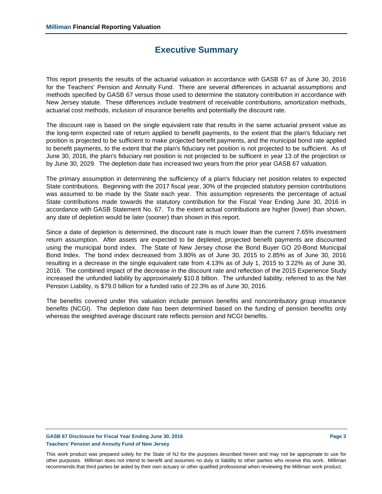## **Executive Summary**

This report presents the results of the actuarial valuation in accordance with GASB 67 as of June 30, 2016 for the Teachers' Pension and Annuity Fund. There are several differences in actuarial assumptions and methods specified by GASB 67 versus those used to determine the statutory contribution in accordance with New Jersey statute. These differences include treatment of receivable contributions, amortization methods, actuarial cost methods, inclusion of insurance benefits and potentially the discount rate.

The discount rate is based on the single equivalent rate that results in the same actuarial present value as the long-term expected rate of return applied to benefit payments, to the extent that the plan's fiduciary net position is projected to be sufficient to make projected benefit payments, and the municipal bond rate applied to benefit payments, to the extent that the plan's fiduciary net position is not projected to be sufficient. As of June 30, 2016, the plan's fiduciary net position is not projected to be sufficent in year 13 of the projection or by June 30, 2029. The depletion date has increased two years from the prior year GASB 67 valuation.

The primary assumption in determining the sufficiency of a plan's fiduciary net position relates to expected State contributions. Beginning with the 2017 fiscal year, 30% of the projected statutory pension contributions was assumed to be made by the State each year. This assumption represents the percentage of actual State contributions made towards the statutory contribution for the Fiscal Year Ending June 30, 2016 in accordance with GASB Statement No. 67. To the extent actual contributions are higher (lower) than shown, any date of depletion would be later (sooner) than shown in this report.

Since a date of depletion is determined, the discount rate is much lower than the current 7.65% investment return assumption. After assets are expected to be depleted, projected benefit payments are discounted using the municipal bond index. The State of New Jersey chose the Bond Buyer GO 20-Bond Municipal Bond Index. The bond index decreased from 3.80% as of June 30, 2015 to 2.85% as of June 30, 2016 resulting in a decrease in the single equivalent rate from 4.13% as of July 1, 2015 to 3.22% as of June 30, 2016. The combined impact of the decrease in the discount rate and reflection of the 2015 Experience Study increased the unfunded liability by approximately \$10.8 billion. The unfunded liability, referred to as the Net Pension Liability, is \$79.0 billion for a funded ratio of 22.3% as of June 30, 2016.

The benefits covered under this valuation include pension benefits and noncontributory group insurance benefits (NCGI). The depletion date has been determined based on the funding of pension benefits only whereas the weighted average discount rate reflects pension and NCGI benefits.

## GASB 67 Disclosure for Fiscal Year Ending June 30, 2016 **Page 3 Page 3 Teachers' Pension and Annuity Fund of New Jersey**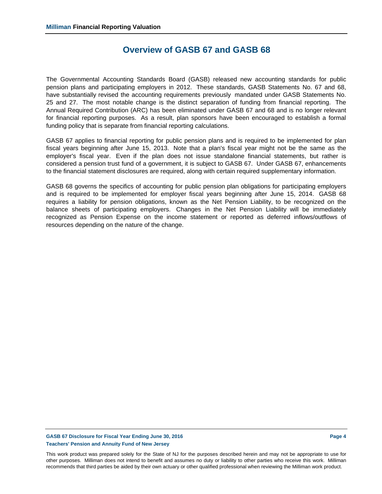## **Overview of GASB 67 and GASB 68**

The Governmental Accounting Standards Board (GASB) released new accounting standards for public pension plans and participating employers in 2012. These standards, GASB Statements No. 67 and 68, have substantially revised the accounting requirements previously mandated under GASB Statements No. 25 and 27. The most notable change is the distinct separation of funding from financial reporting. The Annual Required Contribution (ARC) has been eliminated under GASB 67 and 68 and is no longer relevant for financial reporting purposes. As a result, plan sponsors have been encouraged to establish a formal funding policy that is separate from financial reporting calculations.

GASB 67 applies to financial reporting for public pension plans and is required to be implemented for plan fiscal years beginning after June 15, 2013. Note that a plan's fiscal year might not be the same as the employer's fiscal year. Even if the plan does not issue standalone financial statements, but rather is considered a pension trust fund of a government, it is subject to GASB 67. Under GASB 67, enhancements to the financial statement disclosures are required, along with certain required supplementary information.

GASB 68 governs the specifics of accounting for public pension plan obligations for participating employers and is required to be implemented for employer fiscal years beginning after June 15, 2014. GASB 68 requires a liability for pension obligations, known as the Net Pension Liability, to be recognized on the balance sheets of participating employers. Changes in the Net Pension Liability will be immediately recognized as Pension Expense on the income statement or reported as deferred inflows/outflows of resources depending on the nature of the change.

#### GASB 67 Disclosure for Fiscal Year Ending June 30, 2016 **Page 4 Page 4 Teachers' Pension and Annuity Fund of New Jersey**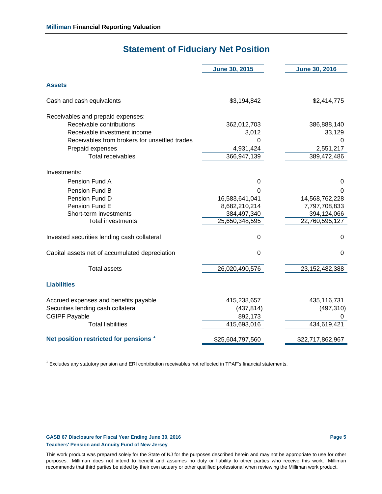## **Statement of Fiduciary Net Position**

|                                                                                                                                                                                                                             | <b>June 30, 2015</b>                                                                              | <b>June 30, 2016</b>                                                                        |
|-----------------------------------------------------------------------------------------------------------------------------------------------------------------------------------------------------------------------------|---------------------------------------------------------------------------------------------------|---------------------------------------------------------------------------------------------|
| <b>Assets</b>                                                                                                                                                                                                               |                                                                                                   |                                                                                             |
| Cash and cash equivalents                                                                                                                                                                                                   | \$3,194,842                                                                                       | \$2,414,775                                                                                 |
| Receivables and prepaid expenses:<br>Receivable contributions<br>Receivable investment income<br>Receivables from brokers for unsettled trades<br>Prepaid expenses<br><b>Total receivables</b>                              | 362,012,703<br>3,012<br>$\Omega$<br>4,931,424<br>366,947,139                                      | 386,888,140<br>33,129<br>0<br>2,551,217<br>389,472,486                                      |
| Investments:                                                                                                                                                                                                                |                                                                                                   |                                                                                             |
| Pension Fund A<br>Pension Fund B<br>Pension Fund D<br>Pension Fund E<br>Short-term investments<br><b>Total investments</b><br>Invested securities lending cash collateral<br>Capital assets net of accumulated depreciation | 0<br>0<br>16,583,641,041<br>8,682,210,214<br>384,497,340<br>25,650,348,595<br>0<br>$\overline{0}$ | 0<br>0<br>14,568,762,228<br>7,797,708,833<br>394,124,066<br>22,760,595,127<br>0<br>$\Omega$ |
|                                                                                                                                                                                                                             |                                                                                                   |                                                                                             |
| <b>Total assets</b>                                                                                                                                                                                                         | 26,020,490,576                                                                                    | 23,152,482,388                                                                              |
| <b>Liabilities</b>                                                                                                                                                                                                          |                                                                                                   |                                                                                             |
| Accrued expenses and benefits payable<br>Securities lending cash collateral<br><b>CGIPF Payable</b><br><b>Total liabilities</b>                                                                                             | 415,238,657<br>(437, 814)<br>892,173<br>415,693,016                                               | 435,116,731<br>(497, 310)<br>0<br>434,619,421                                               |
| Net position restricted for pensions '                                                                                                                                                                                      | \$25,604,797,560                                                                                  | \$22,717,862,967                                                                            |

<sup>1</sup> Excludes any statutory pension and ERI contribution receivables not reflected in TPAF's financial statements.

#### GASB 67 Disclosure for Fiscal Year Ending June 30, 2016 **Page 1 2016** Page 5 **Teachers' Pension and Annuity Fund of New Jersey**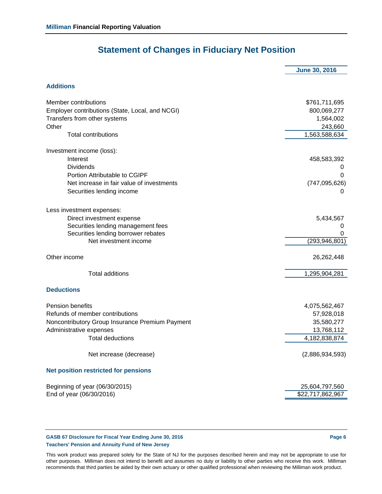# **Statement of Changes in Fiduciary Net Position**

**June 30, 2016**

## **Additions**

| Member contributions                            | \$761,711,695    |
|-------------------------------------------------|------------------|
| Employer contributions (State, Local, and NCGI) | 800,069,277      |
| Transfers from other systems                    | 1,564,002        |
| Other                                           | 243,660          |
| <b>Total contributions</b>                      | 1,563,588,634    |
| Investment income (loss):                       |                  |
| Interest                                        | 458,583,392      |
| <b>Dividends</b>                                | 0                |
| Portion Attributable to CGIPF                   | 0                |
| Net increase in fair value of investments       | (747, 095, 626)  |
| Securities lending income                       | 0                |
| Less investment expenses:                       |                  |
| Direct investment expense                       | 5,434,567        |
| Securities lending management fees              | 0                |
| Securities lending borrower rebates             | 0                |
| Net investment income                           | (293, 946, 801)  |
| Other income                                    | 26,262,448       |
| <b>Total additions</b>                          | 1,295,904,281    |
| <b>Deductions</b>                               |                  |
| Pension benefits                                | 4,075,562,467    |
| Refunds of member contributions                 | 57,928,018       |
| Noncontributory Group Insurance Premium Payment | 35,580,277       |
| Administrative expenses                         | 13,768,112       |
| <b>Total deductions</b>                         | 4,182,838,874    |
| Net increase (decrease)                         | (2,886,934,593)  |
| <b>Net position restricted for pensions</b>     |                  |
| Beginning of year (06/30/2015)                  | 25,604,797,560   |
| End of year (06/30/2016)                        | \$22,717,862,967 |

#### **GASB 67 Disclosure for Fiscal Year Ending June 30, 2016 Page 6 Page 6 Page 6 Teachers' Pension and Annuity Fund of New Jersey**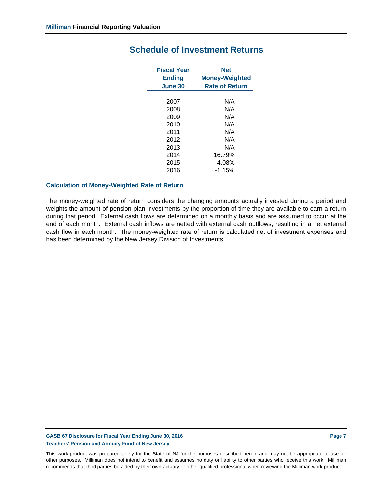| <b>Fiscal Year</b><br><b>Ending</b> | <b>Net</b><br><b>Money-Weighted</b> |
|-------------------------------------|-------------------------------------|
| June 30                             | <b>Rate of Return</b>               |
|                                     |                                     |
| 2007                                | N/A                                 |
| 2008                                | N/A                                 |
| 2009                                | N/A                                 |
| 2010                                | N/A                                 |
| 2011                                | N/A                                 |
| 2012                                | N/A                                 |
| 2013                                | N/A                                 |
| 2014                                | 16.79%                              |
| 2015                                | 4.08%                               |
| 2016                                | $-1.15%$                            |

## **Schedule of Investment Returns**

#### **Calculation of Money-Weighted Rate of Return**

The money-weighted rate of return considers the changing amounts actually invested during a period and weights the amount of pension plan investments by the proportion of time they are available to earn a return during that period. External cash flows are determined on a monthly basis and are assumed to occur at the end of each month. External cash inflows are netted with external cash outflows, resulting in a net external cash flow in each month. The money-weighted rate of return is calculated net of investment expenses and has been determined by the New Jersey Division of Investments.

#### GASB 67 Disclosure for Fiscal Year Ending June 30, 2016 **Page 7 Page 7 Page 7 Teachers' Pension and Annuity Fund of New Jersey**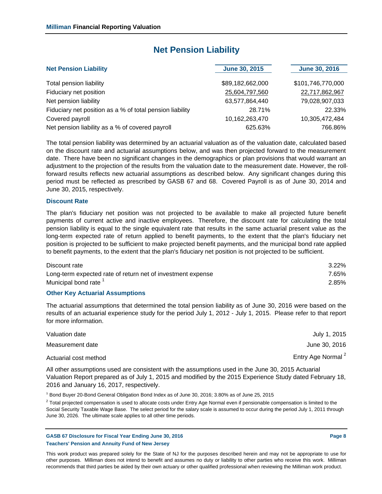## **Net Pension Liability**

| <b>Net Pension Liability</b>                             | <b>June 30, 2015</b> | <b>June 30, 2016</b> |
|----------------------------------------------------------|----------------------|----------------------|
|                                                          | \$89,182,662,000     | \$101,746,770,000    |
| Total pension liability                                  |                      |                      |
| Fiduciary net position                                   | 25,604,797,560       | 22,717,862,967       |
| Net pension liability                                    | 63,577,864,440       | 79,028,907,033       |
| Fiduciary net position as a % of total pension liability | 28.71%               | 22.33%               |
| Covered payroll                                          | 10,162,263,470       | 10,305,472,484       |
| Net pension liability as a % of covered payroll          | 625.63%              | 766.86%              |

The total pension liability was determined by an actuarial valuation as of the valuation date, calculated based on the discount rate and actuarial assumptions below, and was then projected forward to the measurement date. There have been no significant changes in the demographics or plan provisions that would warrant an adjustment to the projection of the results from the valuation date to the measurement date. However, the rollforward results reflects new actuarial assumptions as described below. Any significant changes during this period must be reflected as prescribed by GASB 67 and 68. Covered Payroll is as of June 30, 2014 and June 30, 2015, respectively.

#### **Discount Rate**

The plan's fiduciary net position was not projected to be available to make all projected future benefit payments of current active and inactive employees. Therefore, the discount rate for calculating the total pension liability is equal to the single equivalent rate that results in the same actuarial present value as the long-term expected rate of return applied to benefit payments, to the extent that the plan's fiduciary net position is projected to be sufficient to make projected benefit payments, and the municipal bond rate applied to benefit payments, to the extent that the plan's fiduciary net position is not projected to be sufficient.

| Discount rate                                               | $3.22\%$ |
|-------------------------------------------------------------|----------|
| Long-term expected rate of return net of investment expense | 7.65%    |
| Municipal bond rate <sup>1</sup>                            | 2.85%    |

#### **Other Key Actuarial Assumptions**

The actuarial assumptions that determined the total pension liability as of June 30, 2016 were based on the results of an actuarial experience study for the period July 1, 2012 - July 1, 2015. Please refer to that report for more information.

| Valuation date        | July 1, 2015                  |
|-----------------------|-------------------------------|
| Measurement date      | June 30, 2016                 |
| Actuarial cost method | Entry Age Normal <sup>2</sup> |

All other assumptions used are consistent with the assumptions used in the June 30, 2015 Actuarial Valuation Report prepared as of July 1, 2015 and modified by the 2015 Experience Study dated February 18, 2016 and January 16, 2017, respectively.

<sup>1</sup> Bond Buyer 20-Bond General Obligation Bond Index as of June 30, 2016; 3.80% as of June 25, 2015

 $^2$  Total projected compensation is used to allocate costs under Entry Age Normal even if pensionable compensation is limited to the Social Security Taxable Wage Base. The select period for the salary scale is assumed to occur during the period July 1, 2011 through June 30, 2026. The ultimate scale applies to all other time periods.

GASB 67 Disclosure for Fiscal Year Ending June 30, 2016 **Page 8** Assembly 2016 **Teachers' Pension and Annuity Fund of New Jersey**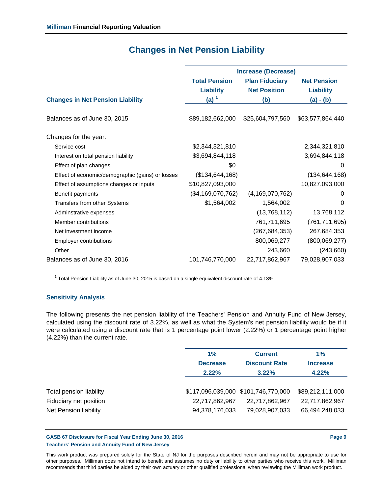|                                                  | <b>Increase (Decrease)</b> |                       |                    |  |
|--------------------------------------------------|----------------------------|-----------------------|--------------------|--|
|                                                  | <b>Total Pension</b>       | <b>Plan Fiduciary</b> | <b>Net Pension</b> |  |
|                                                  | <b>Liability</b>           | <b>Net Position</b>   | <b>Liability</b>   |  |
| <b>Changes in Net Pension Liability</b>          | $(a)$ <sup>1</sup>         | (b)                   | $(a) - (b)$        |  |
|                                                  |                            |                       |                    |  |
| Balances as of June 30, 2015                     | \$89,182,662,000           | \$25,604,797,560      | \$63,577,864,440   |  |
|                                                  |                            |                       |                    |  |
| Changes for the year:                            |                            |                       |                    |  |
| Service cost                                     | \$2,344,321,810            |                       | 2,344,321,810      |  |
| Interest on total pension liability              | \$3,694,844,118            |                       | 3,694,844,118      |  |
| Effect of plan changes                           | \$0                        |                       | 0                  |  |
| Effect of economic/demographic (gains) or losses | (\$134, 644, 168)          |                       | (134, 644, 168)    |  |
| Effect of assumptions changes or inputs          | \$10,827,093,000           |                       | 10,827,093,000     |  |
| Benefit payments                                 | (\$4,169,070,762)          | (4, 169, 070, 762)    | 0                  |  |
| Transfers from other Systems                     | \$1,564,002                | 1,564,002             | $\Omega$           |  |
| Adminstrative expenses                           |                            | (13,768,112)          | 13,768,112         |  |
| Member contributions                             |                            | 761,711,695           | (761, 711, 695)    |  |
| Net investment income                            |                            | (267, 684, 353)       | 267,684,353        |  |
| <b>Employer contributions</b>                    |                            | 800,069,277           | (800, 069, 277)    |  |
| Other                                            |                            | 243,660               | (243,660)          |  |
| Balances as of June 30, 2016                     | 101,746,770,000            | 22,717,862,967        | 79,028,907,033     |  |
|                                                  |                            |                       |                    |  |

## **Changes in Net Pension Liability**

 $<sup>1</sup>$  Total Pension Liability as of June 30, 2015 is based on a single equivalent discount rate of 4.13%</sup>

## **Sensitivity Analysis**

The following presents the net pension liability of the Teachers' Pension and Annuity Fund of New Jersey, calculated using the discount rate of 3.22%, as well as what the System's net pension liability would be if it were calculated using a discount rate that is 1 percentage point lower (2.22%) or 1 percentage point higher (4.22%) than the current rate.

|                                                                            | 1%                               | <b>Current</b>                                                          | $1\%$                                                |
|----------------------------------------------------------------------------|----------------------------------|-------------------------------------------------------------------------|------------------------------------------------------|
|                                                                            | <b>Decrease</b>                  | <b>Discount Rate</b>                                                    | <b>Increase</b>                                      |
|                                                                            | 2.22%                            | 3.22%                                                                   | 4.22%                                                |
| Total pension liability<br>Fiduciary net position<br>Net Pension liability | 22,717,862,967<br>94,378,176,033 | \$117,096,039,000 \$101,746,770,000<br>22,717,862,967<br>79,028,907,033 | \$89,212,111,000<br>22,717,862,967<br>66,494,248,033 |

#### GASB 67 Disclosure for Fiscal Year Ending June 30, 2016 **Page 9** Page 9 **Teachers' Pension and Annuity Fund of New Jersey**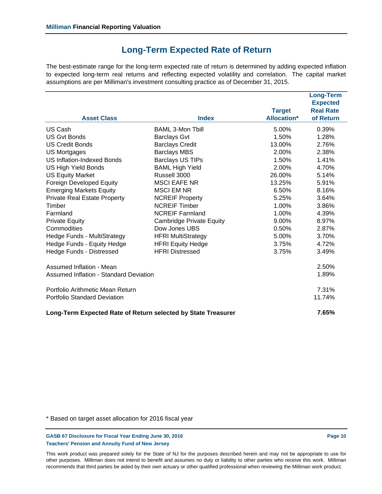## **Long-Term Expected Rate of Return**

The best-estimate range for the long-term expected rate of return is determined by adding expected inflation to expected long-term real returns and reflecting expected volatility and correlation. The capital market assumptions are per Milliman's investment consulting practice as of December 31, 2015.

|                                               |                                                               | <b>Target</b>      | <b>Long-Term</b><br><b>Expected</b><br><b>Real Rate</b> |
|-----------------------------------------------|---------------------------------------------------------------|--------------------|---------------------------------------------------------|
| <b>Asset Class</b>                            | <b>Index</b>                                                  | <b>Allocation*</b> | of Return                                               |
| US Cash                                       | <b>BAML 3-Mon Tbill</b>                                       | 5.00%              | 0.39%                                                   |
| <b>US Gyt Bonds</b>                           | <b>Barclays Gvt</b>                                           | 1.50%              | 1.28%                                                   |
| <b>US Credit Bonds</b>                        | <b>Barclays Credit</b>                                        | 13.00%             | 2.76%                                                   |
| <b>US Mortgages</b>                           | <b>Barclays MBS</b>                                           | 2.00%              | 2.38%                                                   |
| <b>US Inflation-Indexed Bonds</b>             | <b>Barclays US TIPs</b>                                       | 1.50%              | 1.41%                                                   |
| <b>US High Yield Bonds</b>                    | <b>BAML High Yield</b>                                        | 2.00%              | 4.70%                                                   |
| <b>US Equity Market</b>                       | Russell 3000                                                  | 26.00%             | 5.14%                                                   |
| Foreign Developed Equity                      | <b>MSCI EAFE NR</b>                                           | 13.25%             | 5.91%                                                   |
| <b>Emerging Markets Equity</b>                | <b>MSCI EM NR</b>                                             | 6.50%              | 8.16%                                                   |
| <b>Private Real Estate Property</b>           | <b>NCREIF Property</b>                                        | 5.25%              | 3.64%                                                   |
| Timber                                        | <b>NCREIF Timber</b>                                          | 1.00%              | 3.86%                                                   |
| Farmland                                      | <b>NCREIF Farmland</b>                                        | 1.00%              | 4.39%                                                   |
| <b>Private Equity</b>                         | <b>Cambridge Private Equity</b>                               | 9.00%              | 8.97%                                                   |
| Commodities                                   | Dow Jones UBS                                                 | 0.50%              | 2.87%                                                   |
| Hedge Funds - MultiStrategy                   | <b>HFRI MultiStrategy</b>                                     | 5.00%              | 3.70%                                                   |
| Hedge Funds - Equity Hedge                    | <b>HFRI Equity Hedge</b>                                      | 3.75%              | 4.72%                                                   |
| Hedge Funds - Distressed                      | <b>HFRI Distressed</b>                                        | 3.75%              | 3.49%                                                   |
| Assumed Inflation - Mean                      |                                                               |                    | 2.50%                                                   |
| <b>Assumed Inflation - Standard Deviation</b> |                                                               |                    | 1.89%                                                   |
| Portfolio Arithmetic Mean Return              |                                                               |                    | 7.31%                                                   |
| <b>Portfolio Standard Deviation</b>           |                                                               |                    | 11.74%                                                  |
|                                               | Long-Term Expected Rate of Return selected by State Treasurer |                    | 7.65%                                                   |

\* Based on target asset allocation for 2016 fiscal year

GASB 67 Disclosure for Fiscal Year Ending June 30, 2016 **Page 10 Page 10 Page 10 Teachers' Pension and Annuity Fund of New Jersey**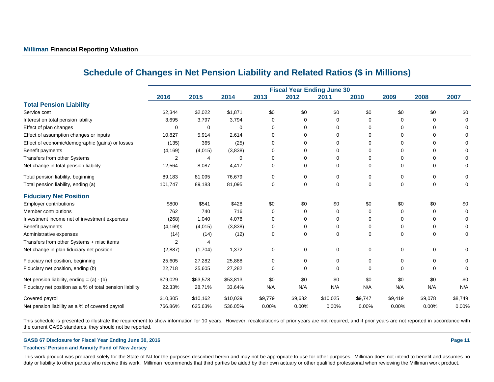|                                                          |          |          |             |          | <b>Fiscal Year Ending June 30</b> |             |             |         |          |             |
|----------------------------------------------------------|----------|----------|-------------|----------|-----------------------------------|-------------|-------------|---------|----------|-------------|
|                                                          | 2016     | 2015     | 2014        | 2013     | 2012                              | 2011        | 2010        | 2009    | 2008     | 2007        |
| <b>Total Pension Liability</b>                           |          |          |             |          |                                   |             |             |         |          |             |
| Service cost                                             | \$2,344  | \$2,022  | \$1,871     | \$0      | \$0                               | \$0         | \$0         | \$0     | \$0      | \$0         |
| Interest on total pension iability                       | 3,695    | 3,797    | 3,794       | $\Omega$ | 0                                 | $\Omega$    | 0           | 0       | $\Omega$ |             |
| Effect of plan changes                                   | 0        | 0        | $\mathbf 0$ | $\Omega$ | $\Omega$                          | $\Omega$    | 0           | U       | $\Omega$ |             |
| Effect of assumption changes or inputs                   | 10,827   | 5,914    | 2,614       | $\Omega$ | 0                                 | 0           | 0           | 0       | $\Omega$ |             |
| Effect of economic/demographic (gains) or losses         | (135)    | 365      | (25)        | $\Omega$ | 0                                 | $\Omega$    | 0           | U       | $\Omega$ |             |
| Benefit payments                                         | (4, 169) | (4,015)  | (3,838)     | 0        | 0                                 | 0           | 0           | 0       | $\Omega$ |             |
| Transfers from other Systems                             | 2        | 4        | $\Omega$    | $\Omega$ | 0                                 | 0           | 0           | U       | $\Omega$ |             |
| Net change in total pension liability                    | 12,564   | 8,087    | 4,417       | $\Omega$ | $\Omega$                          | $\mathbf 0$ | 0           | 0       | $\Omega$ |             |
| Total pension liability, beginning                       | 89,183   | 81,095   | 76,679      | 0        | 0                                 | 0           | 0           | 0       | $\Omega$ | 0           |
| Total pension liability, ending (a)                      | 101,747  | 89,183   | 81,095      | 0        | 0                                 | $\mathbf 0$ | 0           | 0       | $\Omega$ | 0           |
| <b>Fiduciary Net Position</b>                            |          |          |             |          |                                   |             |             |         |          |             |
| Employer contributions                                   | \$800    | \$541    | \$428       | \$0      | \$0                               | \$0         | \$0         | \$0     | \$0      | \$0         |
| Member contributions                                     | 762      | 740      | 716         | 0        | 0                                 | 0           | 0           | 0       | 0        |             |
| Investment income net of investment expenses             | (268)    | 1,040    | 4,078       | $\Omega$ | 0                                 | $\Omega$    | 0           | U       | $\Omega$ |             |
| Benefit payments                                         | (4, 169) | (4,015)  | (3,838)     | 0        | 0                                 | 0           | 0           | 0       | 0        |             |
| Administrative expenses                                  | (14)     | (14)     | (12)        | $\Omega$ | $\Omega$                          | $\Omega$    | 0           | 0       | $\Omega$ | 0           |
| Transfers from other Systems + misc items                | 2        | Δ        |             |          |                                   |             |             |         |          |             |
| Net change in plan fiduciary net position                | (2,887)  | (1,704)  | 1,372       | 0        | 0                                 | 0           | 0           | 0       | 0        | 0           |
| Fiduciary net position, beginning                        | 25,605   | 27,282   | 25,888      | 0        | 0                                 | 0           | 0           | 0       | 0        | 0           |
| Fiduciary net position, ending (b)                       | 22,718   | 25,605   | 27,282      | 0        | 0                                 | $\Omega$    | $\mathbf 0$ | 0       | ∩        | $\mathbf 0$ |
| Net pension liability, ending = $(a) - (b)$              | \$79,029 | \$63,578 | \$53,813    | \$0      | \$0                               | \$0         | \$0         | \$0     | \$0      | \$0         |
| Fiduciary net position as a % of total pension liability | 22.33%   | 28.71%   | 33.64%      | N/A      | N/A                               | N/A         | N/A         | N/A     | N/A      | N/A         |
| Covered payroll                                          | \$10,305 | \$10,162 | \$10,039    | \$9,779  | \$9,682                           | \$10,025    | \$9,747     | \$9,419 | \$9,078  | \$8,749     |
| Net pension liability as a % of covered payroll          | 766.86%  | 625.63%  | 536.05%     | 0.00%    | 0.00%                             | 0.00%       | 0.00%       | 0.00%   | 0.00%    | 0.00%       |

## **Schedule of Changes in Net Pension Liability and Related Ratios (\$ in Millions)**

This schedule is presented to illustrate the requirement to show information for 10 years. However, recalculations of prior years are not required, and if prior years are not reported in accordance with the current GASB standards, they should not be reported.

#### **GASB 67 Disclosure for Fiscal Year Ending June 30, 2016 Page 11**

#### **Teachers' Pension and Annuity Fund of New Jersey**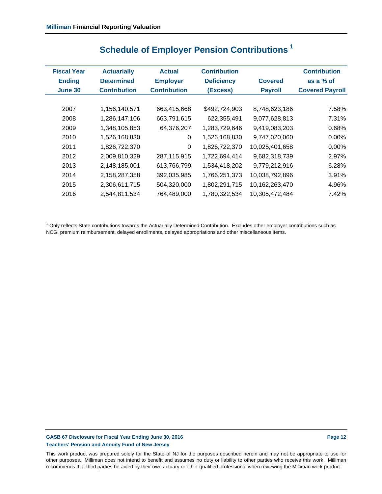| <b>Fiscal Year</b> | <b>Actuarially</b>  | <b>Contribution</b><br><b>Actual</b> |                   |                | <b>Contribution</b>    |
|--------------------|---------------------|--------------------------------------|-------------------|----------------|------------------------|
| <b>Ending</b>      | <b>Determined</b>   | <b>Employer</b>                      | <b>Deficiency</b> | <b>Covered</b> | as a $%$ of            |
| <b>June 30</b>     | <b>Contribution</b> | <b>Contribution</b>                  | (Excess)          | <b>Payroll</b> | <b>Covered Payroll</b> |
|                    |                     |                                      |                   |                |                        |
| 2007               | 1,156,140,571       | 663,415,668                          | \$492,724,903     | 8,748,623,186  | 7.58%                  |
| 2008               | 1,286,147,106       | 663,791,615                          | 622,355,491       | 9,077,628,813  | 7.31%                  |
| 2009               | 1,348,105,853       | 64,376,207                           | 1,283,729,646     | 9,419,083,203  | 0.68%                  |
| 2010               | 1,526,168,830       | 0                                    | 1,526,168,830     | 9,747,020,060  | 0.00%                  |
| 2011               | 1,826,722,370       | $\Omega$                             | 1,826,722,370     | 10,025,401,658 | 0.00%                  |
| 2012               | 2,009,810,329       | 287,115,915                          | 1,722,694,414     | 9,682,318,739  | 2.97%                  |
| 2013               | 2,148,185,001       | 613,766,799                          | 1,534,418,202     | 9,779,212,916  | 6.28%                  |
| 2014               | 2,158,287,358       | 392,035,985                          | 1,766,251,373     | 10,038,792,896 | 3.91%                  |
| 2015               | 2,306,611,715       | 504,320,000                          | 1,802,291,715     | 10,162,263,470 | 4.96%                  |
| 2016               | 2,544,811,534       | 764,489,000                          | 1,780,322,534     | 10,305,472,484 | 7.42%                  |

# **Schedule of Employer Pension Contributions 1**

<sup>1</sup> Only reflects State contributions towards the Actuarially Determined Contribution. Excludes other employer contributions such as NCGI premium reimbursement, delayed enrollments, delayed appropriations and other miscellaneous items.

## GASB 67 Disclosure for Fiscal Year Ending June 30, 2016 **Page 12 Page 12 Page 12 Teachers' Pension and Annuity Fund of New Jersey**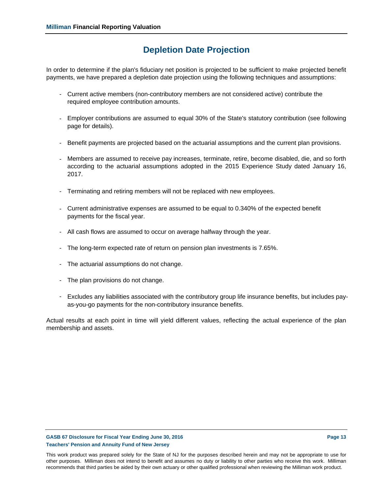## **Depletion Date Projection**

In order to determine if the plan's fiduciary net position is projected to be sufficient to make projected benefit payments, we have prepared a depletion date projection using the following techniques and assumptions:

- Current active members (non-contributory members are not considered active) contribute the required employee contribution amounts.
- Employer contributions are assumed to equal 30% of the State's statutory contribution (see following page for details).
- Benefit payments are projected based on the actuarial assumptions and the current plan provisions.
- Members are assumed to receive pay increases, terminate, retire, become disabled, die, and so forth according to the actuarial assumptions adopted in the 2015 Experience Study dated January 16, 2017.
- Terminating and retiring members will not be replaced with new employees.
- Current administrative expenses are assumed to be equal to 0.340% of the expected benefit payments for the fiscal year.
- All cash flows are assumed to occur on average halfway through the year.
- The long-term expected rate of return on pension plan investments is 7.65%.
- The actuarial assumptions do not change.
- The plan provisions do not change.
- Excludes any liabilities associated with the contributory group life insurance benefits, but includes payas-you-go payments for the non-contributory insurance benefits.

Actual results at each point in time will yield different values, reflecting the actual experience of the plan membership and assets.

#### GASB 67 Disclosure for Fiscal Year Ending June 30, 2016 **Page 13 Page 13 Teachers' Pension and Annuity Fund of New Jersey**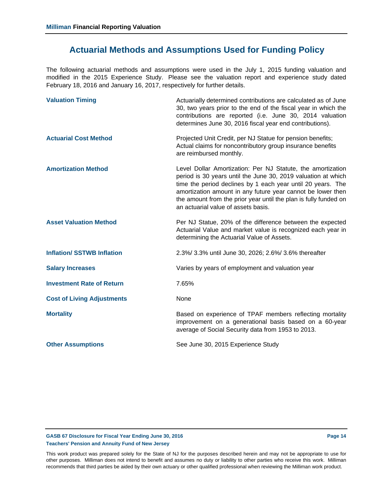## **Actuarial Methods and Assumptions Used for Funding Policy**

The following actuarial methods and assumptions were used in the July 1, 2015 funding valuation and modified in the 2015 Experience Study. Please see the valuation report and experience study dated February 18, 2016 and January 16, 2017, respectively for further details.

| <b>Valuation Timing</b>           | Actuarially determined contributions are calculated as of June<br>30, two years prior to the end of the fiscal year in which the<br>contributions are reported (i.e. June 30, 2014 valuation<br>determines June 30, 2016 fiscal year end contributions).                                                                                                              |
|-----------------------------------|-----------------------------------------------------------------------------------------------------------------------------------------------------------------------------------------------------------------------------------------------------------------------------------------------------------------------------------------------------------------------|
| <b>Actuarial Cost Method</b>      | Projected Unit Credit, per NJ Statue for pension benefits;<br>Actual claims for noncontributory group insurance benefits<br>are reimbursed monthly.                                                                                                                                                                                                                   |
| <b>Amortization Method</b>        | Level Dollar Amortization: Per NJ Statute, the amortization<br>period is 30 years until the June 30, 2019 valuation at which<br>time the period declines by 1 each year until 20 years. The<br>amortization amount in any future year cannot be lower then<br>the amount from the prior year until the plan is fully funded on<br>an actuarial value of assets basis. |
| <b>Asset Valuation Method</b>     | Per NJ Statue, 20% of the difference between the expected<br>Actuarial Value and market value is recognized each year in<br>determining the Actuarial Value of Assets.                                                                                                                                                                                                |
| <b>Inflation/SSTWB Inflation</b>  | 2.3%/ 3.3% until June 30, 2026; 2.6%/ 3.6% thereafter                                                                                                                                                                                                                                                                                                                 |
| <b>Salary Increases</b>           | Varies by years of employment and valuation year                                                                                                                                                                                                                                                                                                                      |
| <b>Investment Rate of Return</b>  | 7.65%                                                                                                                                                                                                                                                                                                                                                                 |
| <b>Cost of Living Adjustments</b> | None                                                                                                                                                                                                                                                                                                                                                                  |
| <b>Mortality</b>                  | Based on experience of TPAF members reflecting mortality<br>improvement on a generational basis based on a 60-year<br>average of Social Security data from 1953 to 2013.                                                                                                                                                                                              |
| <b>Other Assumptions</b>          | See June 30, 2015 Experience Study                                                                                                                                                                                                                                                                                                                                    |

#### GASB 67 Disclosure for Fiscal Year Ending June 30, 2016 **Page 14 Page 14 Page 14 Teachers' Pension and Annuity Fund of New Jersey**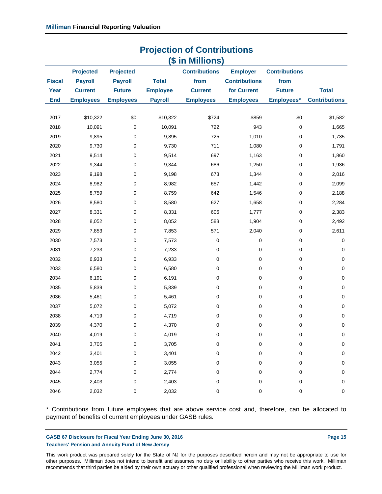|                       | <b>Projection of Contributions</b>                   |                                                     |                                 |                                                                    |                                                        |                                               |                      |
|-----------------------|------------------------------------------------------|-----------------------------------------------------|---------------------------------|--------------------------------------------------------------------|--------------------------------------------------------|-----------------------------------------------|----------------------|
| <b>Fiscal</b><br>Year | <b>Projected</b><br><b>Payroll</b><br><b>Current</b> | <b>Projected</b><br><b>Payroll</b><br><b>Future</b> | <b>Total</b><br><b>Employee</b> | (\$ in Millions)<br><b>Contributions</b><br>from<br><b>Current</b> | <b>Employer</b><br><b>Contributions</b><br>for Current | <b>Contributions</b><br>from<br><b>Future</b> | <b>Total</b>         |
| <b>End</b>            | <b>Employees</b>                                     | <b>Employees</b>                                    | <b>Payroll</b>                  | <b>Employees</b>                                                   | <b>Employees</b>                                       | Employees*                                    | <b>Contributions</b> |
| 2017                  | \$10,322                                             | \$0                                                 | \$10,322                        | \$724                                                              | \$859                                                  | \$0                                           | \$1,582              |
| 2018                  | 10,091                                               | 0                                                   | 10,091                          | 722                                                                | 943                                                    | $\pmb{0}$                                     | 1,665                |
| 2019                  | 9,895                                                | 0                                                   | 9,895                           | 725                                                                | 1,010                                                  | 0                                             | 1,735                |
| 2020                  | 9,730                                                | 0                                                   | 9,730                           | 711                                                                | 1,080                                                  | $\pmb{0}$                                     | 1,791                |
| 2021                  | 9,514                                                | 0                                                   | 9,514                           | 697                                                                | 1,163                                                  | $\mathbf 0$                                   | 1,860                |
| 2022                  | 9,344                                                | $\pmb{0}$                                           | 9,344                           | 686                                                                | 1,250                                                  | 0                                             | 1,936                |
| 2023                  | 9,198                                                | 0                                                   | 9,198                           | 673                                                                | 1,344                                                  | 0                                             | 2,016                |
| 2024                  | 8,982                                                | 0                                                   | 8,982                           | 657                                                                | 1,442                                                  | 0                                             | 2,099                |
| 2025                  | 8,759                                                | 0                                                   | 8,759                           | 642                                                                | 1,546                                                  | $\pmb{0}$                                     | 2,188                |
| 2026                  | 8,580                                                | 0                                                   | 8,580                           | 627                                                                | 1,658                                                  | 0                                             | 2,284                |
| 2027                  | 8,331                                                | 0                                                   | 8,331                           | 606                                                                | 1,777                                                  | 0                                             | 2,383                |
| 2028                  | 8,052                                                | 0                                                   | 8,052                           | 588                                                                | 1,904                                                  | 0                                             | 2,492                |
| 2029                  | 7,853                                                | 0                                                   | 7,853                           | 571                                                                | 2,040                                                  | $\pmb{0}$                                     | 2,611                |
| 2030                  | 7,573                                                | 0                                                   | 7,573                           | 0                                                                  | 0                                                      | $\pmb{0}$                                     | 0                    |
| 2031                  | 7,233                                                | 0                                                   | 7,233                           | 0                                                                  | 0                                                      | $\pmb{0}$                                     | $\pmb{0}$            |
| 2032                  | 6,933                                                | 0                                                   | 6,933                           | 0                                                                  | 0                                                      | 0                                             | $\pmb{0}$            |
| 2033                  | 6,580                                                | 0                                                   | 6,580                           | 0                                                                  | 0                                                      | $\pmb{0}$                                     | $\pmb{0}$            |
| 2034                  | 6,191                                                | 0                                                   | 6,191                           | 0                                                                  | 0                                                      | 0                                             | $\pmb{0}$            |
| 2035                  | 5,839                                                | 0                                                   | 5,839                           | 0                                                                  | 0                                                      | $\pmb{0}$                                     | $\pmb{0}$            |
| 2036                  | 5,461                                                | 0                                                   | 5,461                           | 0                                                                  | 0                                                      | 0                                             | $\pmb{0}$            |
| 2037                  | 5,072                                                | 0                                                   | 5,072                           | 0                                                                  | 0                                                      | $\pmb{0}$                                     | $\pmb{0}$            |
| 2038                  | 4,719                                                | 0                                                   | 4,719                           | 0                                                                  | 0                                                      | 0                                             | 0                    |
| 2039                  | 4,370                                                | 0                                                   | 4,370                           | 0                                                                  | 0                                                      | 0                                             | 0                    |
| 2040                  | 4,019                                                | $\pmb{0}$                                           | 4,019                           | 0                                                                  | 0                                                      | 0                                             | $\pmb{0}$            |
| 2041                  | 3,705                                                | 0                                                   | 3,705                           | 0                                                                  | 0                                                      | $\pmb{0}$                                     | 0                    |
| 2042                  | 3,401                                                | 0                                                   | 3,401                           | 0                                                                  | 0                                                      | $\mathbf 0$                                   | 0                    |
| 2043                  | 3,055                                                | 0                                                   | 3,055                           | 0                                                                  | 0                                                      | 0                                             | 0                    |
| 2044                  | 2,774                                                | 0                                                   | 2,774                           | 0                                                                  | 0                                                      | 0                                             | 0                    |
| 2045                  | 2,403                                                | $\pmb{0}$                                           | 2,403                           | 0                                                                  | 0                                                      | 0                                             | 0                    |
| 2046                  | 2,032                                                | 0                                                   | 2,032                           | 0                                                                  | $\pmb{0}$                                              | $\pmb{0}$                                     | $\pmb{0}$            |

\* Contributions from future employees that are above service cost and, therefore, can be allocated to payment of benefits of current employees under GASB rules.

#### GASB 67 Disclosure for Fiscal Year Ending June 30, 2016 **Page 15 Page 15 Teachers' Pension and Annuity Fund of New Jersey**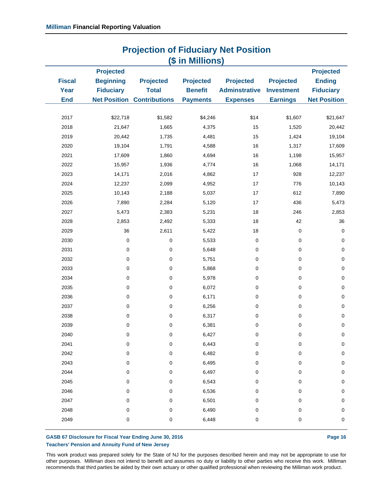| (\$ in Millions) |                  |                                   |                  |                                 |                  |                     |
|------------------|------------------|-----------------------------------|------------------|---------------------------------|------------------|---------------------|
|                  | <b>Projected</b> |                                   |                  |                                 |                  | <b>Projected</b>    |
| <b>Fiscal</b>    | <b>Beginning</b> | <b>Projected</b>                  | <b>Projected</b> | <b>Projected</b>                | <b>Projected</b> | <b>Ending</b>       |
| Year             | <b>Fiduciary</b> | <b>Total</b>                      | <b>Benefit</b>   | <b>Adminstrative Investment</b> |                  | <b>Fiduciary</b>    |
| <b>End</b>       |                  | <b>Net Position Contributions</b> | <b>Payments</b>  | <b>Expenses</b>                 | <b>Earnings</b>  | <b>Net Position</b> |
|                  |                  |                                   |                  |                                 |                  |                     |
| 2017             | \$22,718         | \$1,582                           | \$4,246          | \$14                            | \$1,607          | \$21,647            |
| 2018             | 21,647           | 1,665                             | 4,375            | 15                              | 1,520            | 20,442              |
| 2019             | 20,442           | 1,735                             | 4,481            | 15                              | 1,424            | 19,104              |
| 2020             | 19,104           | 1,791                             | 4,588            | 16                              | 1,317            | 17,609              |
| 2021             | 17,609           | 1,860                             | 4,694            | 16                              | 1,198            | 15,957              |
| 2022             | 15,957           | 1,936                             | 4,774            | 16                              | 1,068            | 14,171              |
| 2023             | 14,171           | 2,016                             | 4,862            | 17                              | 928              | 12,237              |
| 2024             | 12,237           | 2,099                             | 4,952            | 17                              | 776              | 10,143              |
| 2025             | 10,143           | 2,188                             | 5,037            | 17                              | 612              | 7,890               |
| 2026             | 7,890            | 2,284                             | 5,120            | 17                              | 436              | 5,473               |
| 2027             | 5,473            | 2,383                             | 5,231            | 18                              | 246              | 2,853               |
| 2028             | 2,853            | 2,492                             | 5,333            | 18                              | 42               | 36                  |
| 2029             | 36               | 2,611                             | 5,422            | $18$                            | 0                | $\pmb{0}$           |
| 2030             | 0                | 0                                 | 5,533            | 0                               | 0                | $\pmb{0}$           |
| 2031             | 0                | $\pmb{0}$                         | 5,648            | 0                               | 0                | $\pmb{0}$           |
| 2032             | 0                | 0                                 | 5,751            | 0                               | 0                | $\mathbf 0$         |
| 2033             | 0                | 0                                 | 5,868            | 0                               | 0                | $\pmb{0}$           |
| 2034             | 0                | 0                                 | 5,978            | 0                               | $\mathsf 0$      | $\pmb{0}$           |
| 2035             | 0                | 0                                 | 6,072            | 0                               | 0                | $\mathbf 0$         |
| 2036             | 0                | 0                                 | 6,171            | 0                               | 0                | $\mathbf 0$         |
| 2037             | 0                | $\pmb{0}$                         | 6,256            | 0                               | 0                | $\pmb{0}$           |
| 2038             | 0                | $\pmb{0}$                         | 6,317            | 0                               | 0                | $\pmb{0}$           |
| 2039             | 0                | 0                                 | 6,381            | 0                               | 0                | $\pmb{0}$           |
| 2040             | O                | O                                 | 6,427            | O                               | 0                | 0                   |
| 2041             | 0                | 0                                 | 6,443            | 0                               | $\pmb{0}$        | 0                   |
| 2042             | 0                | 0                                 | 6,482            | 0                               | 0                | 0                   |
| 2043             | 0                | 0                                 | 6,495            | 0                               | 0                | $\mathbf 0$         |
| 2044             | 0                | 0                                 | 6,497            | 0                               | 0                | 0                   |
| 2045             | 0                | 0                                 | 6,543            | 0                               | 0                | 0                   |
| 2046             | 0                | 0                                 | 6,536            | 0                               | 0                | 0                   |
| 2047             | 0                | 0                                 | 6,501            | 0                               | 0                | 0                   |
| 2048             | 0                | 0                                 | 6,490            | 0                               | 0                | 0                   |
| 2049             | 0                | 0                                 | 6,448            | 0                               | $\pmb{0}$        | $\pmb{0}$           |
|                  |                  |                                   |                  |                                 |                  |                     |

# **Projection of Fiduciary Net Position**

#### GASB 67 Disclosure for Fiscal Year Ending June 30, 2016 **Page 16 Page 16 Page 16 Teachers' Pension and Annuity Fund of New Jersey**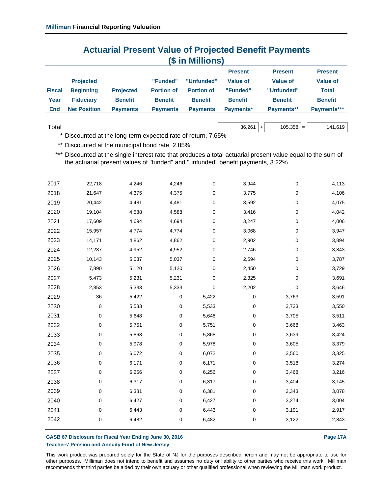## **Actuarial Present Value of Projected Benefit Payments (\$ in Millions)**

|               |                     |                  |                   |                   | <b>Present</b>  | <b>Present</b> | <b>Present</b>  |
|---------------|---------------------|------------------|-------------------|-------------------|-----------------|----------------|-----------------|
|               | <b>Projected</b>    |                  | "Funded"          | "Unfunded"        | <b>Value of</b> | Value of       | <b>Value of</b> |
| <b>Fiscal</b> | <b>Beginning</b>    | <b>Projected</b> | <b>Portion of</b> | <b>Portion of</b> | "Funded"        | "Unfunded"     | Total           |
| Year          | <b>Fiduciary</b>    | <b>Benefit</b>   | <b>Benefit</b>    | <b>Benefit</b>    | <b>Benefit</b>  | <b>Benefit</b> | <b>Benefit</b>  |
| End           | <b>Net Position</b> | <b>Payments</b>  | <b>Payments</b>   | <b>Payments</b>   | Payments*       | Payments**     | Payments***     |
|               |                     |                  |                   |                   |                 |                |                 |

```
\hbox{Total} \hskip 1.0cm 141,619
```
\* Discounted at the long-term expected rate of return, 7.65%

\*\* Discounted at the municipal bond rate, 2.85%

\*\*\* Discounted at the single interest rate that produces a total actuarial present value equal to the sum of the actuarial present values of ''funded'' and ''unfunded'' benefit payments, 3.22%

| 2017 | 22,718      | 4,246 | 4,246 | 0         | 3,944 | 0         | 4,113 |
|------|-------------|-------|-------|-----------|-------|-----------|-------|
| 2018 | 21,647      | 4,375 | 4,375 | 0         | 3,775 | 0         | 4,106 |
| 2019 | 20,442      | 4,481 | 4,481 | 0         | 3,592 | 0         | 4,075 |
| 2020 | 19,104      | 4,588 | 4,588 | 0         | 3,416 | 0         | 4,042 |
| 2021 | 17,609      | 4,694 | 4,694 | $\pmb{0}$ | 3,247 | 0         | 4,006 |
| 2022 | 15,957      | 4,774 | 4,774 | 0         | 3,068 | 0         | 3,947 |
| 2023 | 14,171      | 4,862 | 4,862 | 0         | 2,902 | 0         | 3,894 |
| 2024 | 12,237      | 4,952 | 4,952 | $\pmb{0}$ | 2,746 | $\pmb{0}$ | 3,843 |
| 2025 | 10,143      | 5,037 | 5,037 | 0         | 2,594 | 0         | 3,787 |
| 2026 | 7,890       | 5,120 | 5,120 | 0         | 2,450 | 0         | 3,729 |
| 2027 | 5,473       | 5,231 | 5,231 | $\pmb{0}$ | 2,325 | 0         | 3,691 |
| 2028 | 2,853       | 5,333 | 5,333 | 0         | 2,202 | 0         | 3,646 |
| 2029 | 36          | 5,422 | 0     | 5,422     | 0     | 3,763     | 3,591 |
| 2030 | $\mathbf 0$ | 5,533 | 0     | 5,533     | 0     | 3,733     | 3,550 |
| 2031 | 0           | 5,648 | 0     | 5,648     | 0     | 3,705     | 3,511 |
| 2032 | 0           | 5,751 | 0     | 5,751     | 0     | 3,668     | 3,463 |
| 2033 | 0           | 5,868 | 0     | 5,868     | 0     | 3,639     | 3,424 |
| 2034 | 0           | 5,978 | 0     | 5,978     | 0     | 3,605     | 3,379 |
| 2035 | 0           | 6,072 | 0     | 6,072     | 0     | 3,560     | 3,325 |
| 2036 | 0           | 6,171 | 0     | 6,171     | 0     | 3,518     | 3,274 |
| 2037 | 0           | 6,256 | 0     | 6,256     | 0     | 3,468     | 3,216 |
| 2038 | 0           | 6,317 | 0     | 6,317     | 0     | 3,404     | 3,145 |
| 2039 | 0           | 6,381 | 0     | 6,381     | 0     | 3,343     | 3,078 |
| 2040 | 0           | 6,427 | 0     | 6,427     | 0     | 3,274     | 3,004 |
| 2041 | 0           | 6,443 | 0     | 6,443     | 0     | 3,191     | 2,917 |
| 2042 | 0           | 6,482 | 0     | 6,482     | 0     | 3,122     | 2,843 |
|      |             |       |       |           |       |           |       |

#### GASB 67 Disclosure for Fiscal Year Ending June 30, 2016 **Page 17A** Page 17A **Teachers' Pension and Annuity Fund of New Jersey**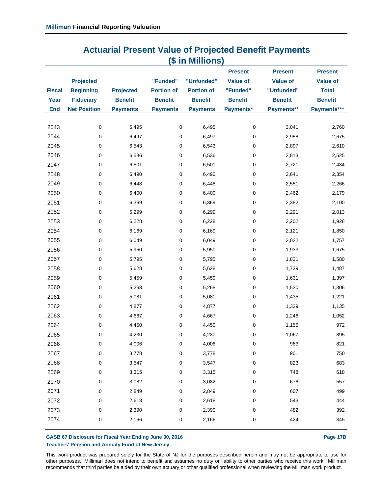## **Actuarial Present Value of Projected Benefit Payments (\$ in Millions)**

|               | <b>Projected</b>    |                  | "Funded"          | "Unfunded"        | <b>Present</b><br><b>Value of</b> | <b>Present</b><br><b>Value of</b> | <b>Present</b><br><b>Value of</b> |
|---------------|---------------------|------------------|-------------------|-------------------|-----------------------------------|-----------------------------------|-----------------------------------|
| <b>Fiscal</b> | <b>Beginning</b>    | <b>Projected</b> | <b>Portion of</b> | <b>Portion of</b> | "Funded"                          | "Unfunded"                        | <b>Total</b>                      |
| Year          | <b>Fiduciary</b>    | <b>Benefit</b>   | <b>Benefit</b>    | <b>Benefit</b>    | <b>Benefit</b>                    | <b>Benefit</b>                    | <b>Benefit</b>                    |
| <b>End</b>    | <b>Net Position</b> | <b>Payments</b>  | <b>Payments</b>   | <b>Payments</b>   | Payments*                         | Payments**                        | Payments***                       |
|               |                     |                  |                   |                   |                                   |                                   |                                   |
| 2043          | $\pmb{0}$           | 6,495            | $\mathsf 0$       | 6,495             | $\pmb{0}$                         | 3,041                             | 2,760                             |
| 2044          | 0                   | 6,497            | 0                 | 6,497             | 0                                 | 2,958                             | 2,675                             |
| 2045          | 0                   | 6,543            | $\pmb{0}$         | 6,543             | $\pmb{0}$                         | 2,897                             | 2,610                             |
| 2046          | 0                   | 6,536            | $\mathbf 0$       | 6,536             | $\mathbf 0$                       | 2,813                             | 2,525                             |
| 2047          | 0                   | 6,501            | 0                 | 6,501             | 0                                 | 2,721                             | 2,434                             |
| 2048          | 0                   | 6,490            | $\mathbf 0$       | 6,490             | 0                                 | 2,641                             | 2,354                             |
| 2049          | 0                   | 6,448            | 0                 | 6,448             | 0                                 | 2,551                             | 2,266                             |
| 2050          | 0                   | 6,400            | $\mathbf 0$       | 6,400             | $\pmb{0}$                         | 2,462                             | 2,179                             |
| 2051          | 0                   | 6,369            | 0                 | 6,369             | $\mathbf 0$                       | 2,382                             | 2,100                             |
| 2052          | 0                   | 6,299            | 0                 | 6,299             | $\mathbf 0$                       | 2,291                             | 2,013                             |
| 2053          | 0                   | 6,228            | 0                 | 6,228             | $\pmb{0}$                         | 2,202                             | 1,928                             |
| 2054          | 0                   | 6,169            | 0                 | 6,169             | 0                                 | 2,121                             | 1,850                             |
| 2055          | 0                   | 6,049            | 0                 | 6,049             | 0                                 | 2,022                             | 1,757                             |
| 2056          | 0                   | 5,950            | 0                 | 5,950             | 0                                 | 1,933                             | 1,675                             |
| 2057          | 0                   | 5,795            | 0                 | 5,795             | $\mathbf 0$                       | 1,831                             | 1,580                             |
| 2058          | 0                   | 5,628            | 0                 | 5,628             | $\pmb{0}$                         | 1,729                             | 1,487                             |
| 2059          | 0                   | 5,459            | 0                 | 5,459             | 0                                 | 1,631                             | 1,397                             |
| 2060          | 0                   | 5,268            | 0                 | 5,268             | $\pmb{0}$                         | 1,530                             | 1,306                             |
| 2061          | 0                   | 5,081            | 0                 | 5,081             | $\pmb{0}$                         | 1,435                             | 1,221                             |
| 2062          | 0                   | 4,877            | 0                 | 4,877             | $\pmb{0}$                         | 1,339                             | 1,135                             |
| 2063          | 0                   | 4,667            | 0                 | 4,667             | $\mathbf 0$                       | 1,246                             | 1,052                             |
| 2064          | 0                   | 4,450            | $\pmb{0}$         | 4,450             | $\pmb{0}$                         | 1,155                             | 972                               |
| 2065          | 0                   | 4,230            | 0                 | 4,230             | $\pmb{0}$                         | 1,067                             | 895                               |
| 2066          | 0                   | 4,006            | 0                 | 4,006             | 0                                 | 983                               | 821                               |
| 2067          | 0                   | 3,778            | 0                 | 3,778             | $\pmb{0}$                         | 901                               | 750                               |
| 2068          | $\mathbf 0$         | 3,547            | 0                 | 3,547             | $\pmb{0}$                         | 823                               | 683                               |
| 2069          | 0                   | 3,315            | 0                 | 3,315             | $\pmb{0}$                         | 748                               | 618                               |
| 2070          | 0                   | 3,082            | 0                 | 3,082             | 0                                 | 676                               | 557                               |
| 2071          | 0                   | 2,849            | 0                 | 2,849             | $\pmb{0}$                         | 607                               | 499                               |
| 2072          | 0                   | 2,618            | 0                 | 2,618             | 0                                 | 543                               | 444                               |
| 2073          | 0                   | 2,390            | 0                 | 2,390             | $\pmb{0}$                         | 482                               | 392                               |
| 2074          | 0                   | 2,166            | 0                 | 2,166             | $\pmb{0}$                         | 424                               | 345                               |
|               |                     |                  |                   |                   |                                   |                                   |                                   |

#### GASB 67 Disclosure for Fiscal Year Ending June 30, 2016 **Page 17B** Page 17B **Teachers' Pension and Annuity Fund of New Jersey**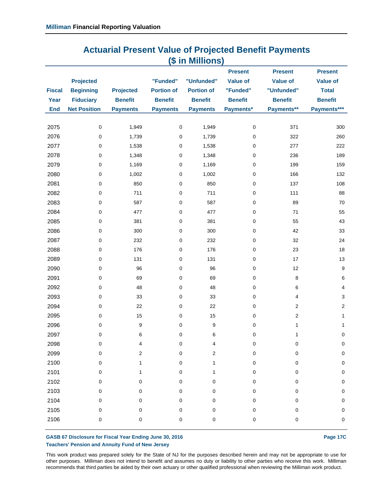| <b>Actuarial Present Value of Projected Benefit Payments</b> |  |
|--------------------------------------------------------------|--|
| (\$ in Millions)                                             |  |

|               |                     |                  |                   |                         | <b>Present</b>  | <b>Present</b>  | <b>Present</b>  |
|---------------|---------------------|------------------|-------------------|-------------------------|-----------------|-----------------|-----------------|
|               | <b>Projected</b>    |                  | "Funded"          | "Unfunded"              | <b>Value of</b> | <b>Value of</b> | <b>Value of</b> |
| <b>Fiscal</b> | <b>Beginning</b>    | <b>Projected</b> | <b>Portion of</b> | <b>Portion of</b>       | "Funded"        | "Unfunded"      | <b>Total</b>    |
| Year          | <b>Fiduciary</b>    | <b>Benefit</b>   | <b>Benefit</b>    | <b>Benefit</b>          | <b>Benefit</b>  | <b>Benefit</b>  | <b>Benefit</b>  |
| <b>End</b>    | <b>Net Position</b> | <b>Payments</b>  | <b>Payments</b>   | <b>Payments</b>         | Payments*       | Payments**      | Payments***     |
|               |                     | 1,949            | $\mathsf 0$       |                         | $\pmb{0}$       | 371             |                 |
| 2075<br>2076  | 0<br>0              | 1,739            | $\pmb{0}$         | 1,949<br>1,739          | $\pmb{0}$       | 322             | 300<br>260      |
| 2077          | 0                   | 1,538            | $\pmb{0}$         | 1,538                   | $\pmb{0}$       | 277             | 222             |
| 2078          | 0                   | 1,348            | $\mathbf 0$       | 1,348                   | $\mathbf 0$     | 236             | 189             |
| 2079          | 0                   | 1,169            | $\pmb{0}$         | 1,169                   | $\pmb{0}$       | 199             | 159             |
| 2080          | 0                   | 1,002            | $\pmb{0}$         | 1,002                   | 0               | 166             | 132             |
| 2081          | 0                   | 850              | $\pmb{0}$         | 850                     | $\mathbf 0$     | 137             | 108             |
| 2082          | 0                   | 711              | $\mathbf 0$       | 711                     | $\mathbf 0$     | 111             | 88              |
| 2083          | 0                   | 587              | $\pmb{0}$         | 587                     | $\pmb{0}$       | 89              | 70              |
| 2084          | 0                   | 477              | $\mathbf 0$       | 477                     | $\pmb{0}$       | 71              | 55              |
| 2085          | 0                   | 381              | $\pmb{0}$         | 381                     | $\pmb{0}$       | 55              | 43              |
| 2086          | 0                   | 300              | $\mathbf 0$       | 300                     | $\mathbf 0$     | 42              | 33              |
| 2087          | 0                   | 232              | $\pmb{0}$         | 232                     | $\pmb{0}$       | 32              | 24              |
| 2088          | 0                   | 176              | $\mathbf 0$       | 176                     | $\mathbf 0$     | 23              | 18              |
| 2089          | 0                   | 131              | $\pmb{0}$         | 131                     | $\pmb{0}$       | 17              | 13              |
| 2090          | 0                   | 96               | $\mathbf 0$       | 96                      | $\pmb{0}$       | 12              | 9               |
| 2091          | 0                   | 69               | $\pmb{0}$         | 69                      | $\mathbf 0$     | $\,8\,$         | 6               |
| 2092          | 0                   | 48               | $\mathbf 0$       | 48                      | $\mathbf 0$     | 6               | $\overline{4}$  |
| 2093          | 0                   | 33               | $\pmb{0}$         | 33                      | $\mathbf 0$     | 4               | 3               |
| 2094          | 0                   | 22               | $\mathbf 0$       | 22                      | $\mathbf 0$     | 2               | $\sqrt{2}$      |
| 2095          | 0                   | 15               | $\pmb{0}$         | 15                      | 0               | 2               | 1               |
| 2096          | 0                   | $\boldsymbol{9}$ | $\mathbf 0$       | 9                       | 0               | 1               | $\mathbf{1}$    |
| 2097          | 0                   | 6                | $\pmb{0}$         | 6                       | $\pmb{0}$       | 1               | $\pmb{0}$       |
| 2098          | 0                   | 4                | 0                 | 4                       | 0               | 0               | $\pmb{0}$       |
| 2099          | 0                   | 2                | 0                 | $\overline{\mathbf{c}}$ | 0               | 0               | $\mathbf 0$     |
| 2100          | 0                   | 1                | 0                 | 1                       | 0               | 0               | $\pmb{0}$       |
| 2101          | 0                   | 1                | 0                 | 1                       | 0               | 0               | $\mathbf 0$     |
| 2102          | 0                   | 0                | 0                 | 0                       | 0               | 0               | $\pmb{0}$       |
| 2103          | 0                   | 0                | 0                 | 0                       | 0               | 0               | $\pmb{0}$       |
| 2104          | 0                   | 0                | 0                 | 0                       | 0               | 0               | $\pmb{0}$       |
| 2105          | 0                   | $\mathbf 0$      | $\pmb{0}$         | 0                       | 0               | 0               | $\pmb{0}$       |
| 2106          | 0                   | 0                | 0                 | 0                       | 0               | 0               | 0               |
|               |                     |                  |                   |                         |                 |                 |                 |

#### GASB 67 Disclosure for Fiscal Year Ending June 30, 2016 **Page 17C** Page 17C **Teachers' Pension and Annuity Fund of New Jersey**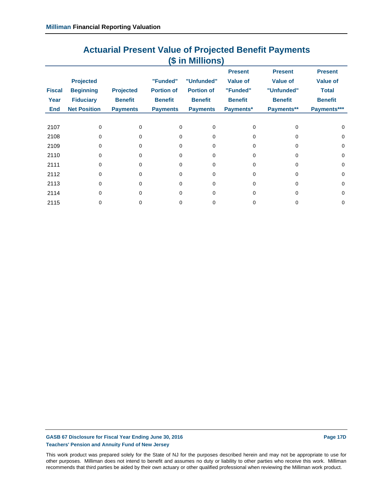## **Actuarial Present Value of Projected Benefit Payments (\$ in Millions)**

|               |                     |                  |                   |                   | <b>Present</b>  | <b>Present</b>  | <b>Present</b>  |
|---------------|---------------------|------------------|-------------------|-------------------|-----------------|-----------------|-----------------|
|               | <b>Projected</b>    |                  | "Funded"          | "Unfunded"        | <b>Value of</b> | <b>Value of</b> | <b>Value of</b> |
| <b>Fiscal</b> | <b>Beginning</b>    | <b>Projected</b> | <b>Portion of</b> | <b>Portion of</b> | "Funded"        | "Unfunded"      | <b>Total</b>    |
| Year          | <b>Fiduciary</b>    | <b>Benefit</b>   | <b>Benefit</b>    | <b>Benefit</b>    | <b>Benefit</b>  | <b>Benefit</b>  | <b>Benefit</b>  |
| End           | <b>Net Position</b> | <b>Payments</b>  | <b>Payments</b>   | <b>Payments</b>   | Payments*       | Payments**      | Payments***     |
|               |                     |                  |                   |                   |                 |                 |                 |
| 2107          | 0                   | 0                | $\Omega$          | $\Omega$          | <sup>0</sup>    | 0               | $\Omega$        |
| 2108          | 0                   | <sup>0</sup>     | $\Omega$          | $\Omega$          | 0               | 0               | $\Omega$        |
| 2109          | $\Omega$            | $\Omega$         | $\Omega$          | $\Omega$          | U               | 0               | $\Omega$        |
| 2110          | 0                   | 0                | 0                 | $\mathbf 0$       | U               | 0               | $\Omega$        |
| 2111          | <sup>0</sup>        | <sup>0</sup>     | $\Omega$          | $\Omega$          | U               | U               | $\Omega$        |
| 2112          | 0                   | 0                | $\Omega$          | 0                 | 0               | 0               | $\Omega$        |
| 2113          | 0                   | <sup>0</sup>     | $\Omega$          | $\Omega$          | U               | 0               | $\Omega$        |
| 2114          | 0                   | 0                | 0                 | $\Omega$          | 0               | 0               | $\Omega$        |
| 2115          |                     | 0                | 0                 | 0                 |                 | 0               | $\Omega$        |

#### GASB 67 Disclosure for Fiscal Year Ending June 30, 2016 **Page 17D Page 17D Teachers' Pension and Annuity Fund of New Jersey**